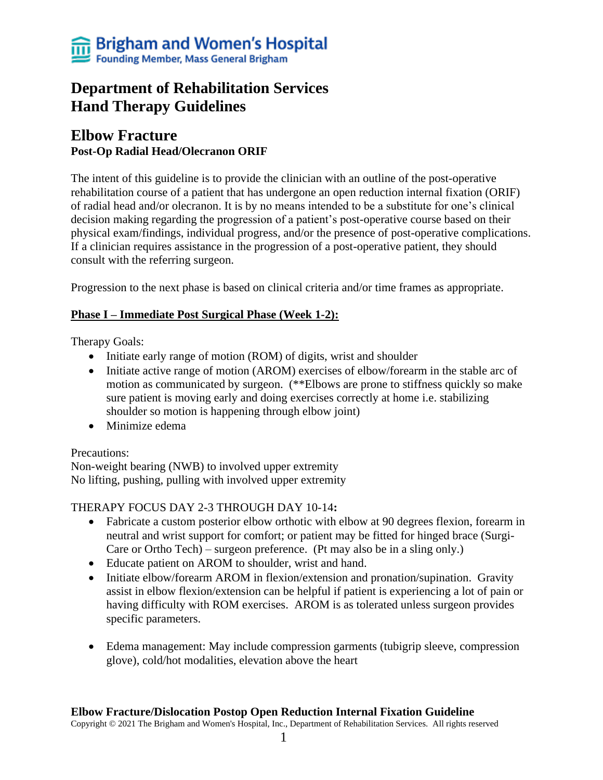# **Department of Rehabilitation Services Hand Therapy Guidelines**

# **Elbow Fracture Post-Op Radial Head/Olecranon ORIF**

The intent of this guideline is to provide the clinician with an outline of the post-operative rehabilitation course of a patient that has undergone an open reduction internal fixation (ORIF) of radial head and/or olecranon. It is by no means intended to be a substitute for one's clinical decision making regarding the progression of a patient's post-operative course based on their physical exam/findings, individual progress, and/or the presence of post-operative complications. If a clinician requires assistance in the progression of a post-operative patient, they should consult with the referring surgeon.

Progression to the next phase is based on clinical criteria and/or time frames as appropriate.

## **Phase I – Immediate Post Surgical Phase (Week 1-2):**

Therapy Goals:

- Initiate early range of motion (ROM) of digits, wrist and shoulder
- Initiate active range of motion (AROM) exercises of elbow/forearm in the stable arc of motion as communicated by surgeon. (\*\*Elbows are prone to stiffness quickly so make sure patient is moving early and doing exercises correctly at home i.e. stabilizing shoulder so motion is happening through elbow joint)
- Minimize edema

#### Precautions:

Non-weight bearing (NWB) to involved upper extremity No lifting, pushing, pulling with involved upper extremity

## THERAPY FOCUS DAY 2-3 THROUGH DAY 10-14**:**

- Fabricate a custom posterior elbow orthotic with elbow at 90 degrees flexion, forearm in neutral and wrist support for comfort; or patient may be fitted for hinged brace (Surgi-Care or Ortho Tech) – surgeon preference. (Pt may also be in a sling only.)
- Educate patient on AROM to shoulder, wrist and hand.
- Initiate elbow/forearm AROM in flexion/extension and pronation/supination. Gravity assist in elbow flexion/extension can be helpful if patient is experiencing a lot of pain or having difficulty with ROM exercises. AROM is as tolerated unless surgeon provides specific parameters.
- Edema management: May include compression garments (tubigrip sleeve, compression glove), cold/hot modalities, elevation above the heart

#### **Elbow Fracture/Dislocation Postop Open Reduction Internal Fixation Guideline**

Copyright © 2021 The Brigham and Women's Hospital, Inc., Department of Rehabilitation Services. All rights reserved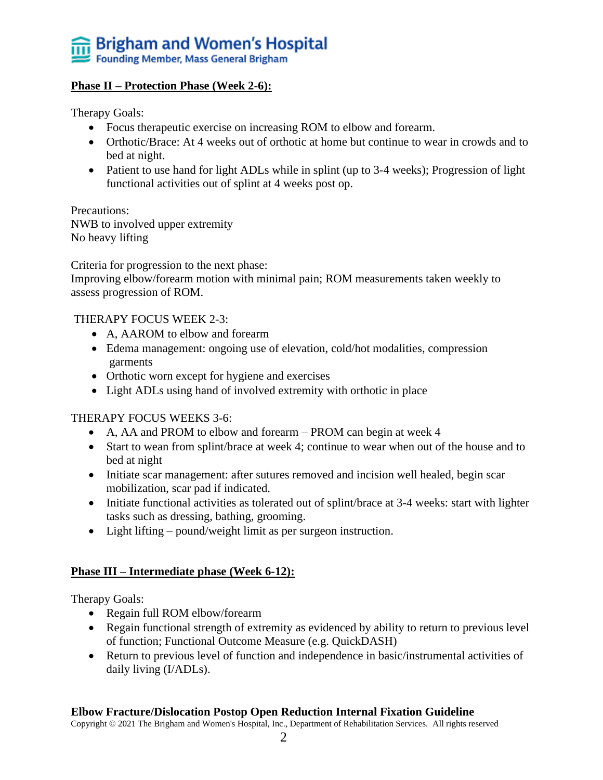

#### **Phase II – Protection Phase (Week 2-6):**

Therapy Goals:

- Focus therapeutic exercise on increasing ROM to elbow and forearm.
- Orthotic/Brace: At 4 weeks out of orthotic at home but continue to wear in crowds and to bed at night.
- Patient to use hand for light ADLs while in splint (up to 3-4 weeks); Progression of light functional activities out of splint at 4 weeks post op.

Precautions: NWB to involved upper extremity No heavy lifting

Criteria for progression to the next phase:

Improving elbow/forearm motion with minimal pain; ROM measurements taken weekly to assess progression of ROM.

#### THERAPY FOCUS WEEK 2-3:

- A, AAROM to elbow and forearm
- Edema management: ongoing use of elevation, cold/hot modalities, compression garments
- Orthotic worn except for hygiene and exercises
- Light ADLs using hand of involved extremity with orthotic in place

#### THERAPY FOCUS WEEKS 3-6:

- A, AA and PROM to elbow and forearm PROM can begin at week 4
- Start to wean from splint/brace at week 4; continue to wear when out of the house and to bed at night
- Initiate scar management: after sutures removed and incision well healed, begin scar mobilization, scar pad if indicated.
- Initiate functional activities as tolerated out of splint/brace at 3-4 weeks: start with lighter tasks such as dressing, bathing, grooming.
- Light lifting pound/weight limit as per surgeon instruction.

#### **Phase III – Intermediate phase (Week 6-12):**

Therapy Goals:

- Regain full ROM elbow/forearm
- Regain functional strength of extremity as evidenced by ability to return to previous level of function; Functional Outcome Measure (e.g. QuickDASH)
- Return to previous level of function and independence in basic/instrumental activities of daily living (I/ADLs).

#### **Elbow Fracture/Dislocation Postop Open Reduction Internal Fixation Guideline**

Copyright © 2021 The Brigham and Women's Hospital, Inc., Department of Rehabilitation Services. All rights reserved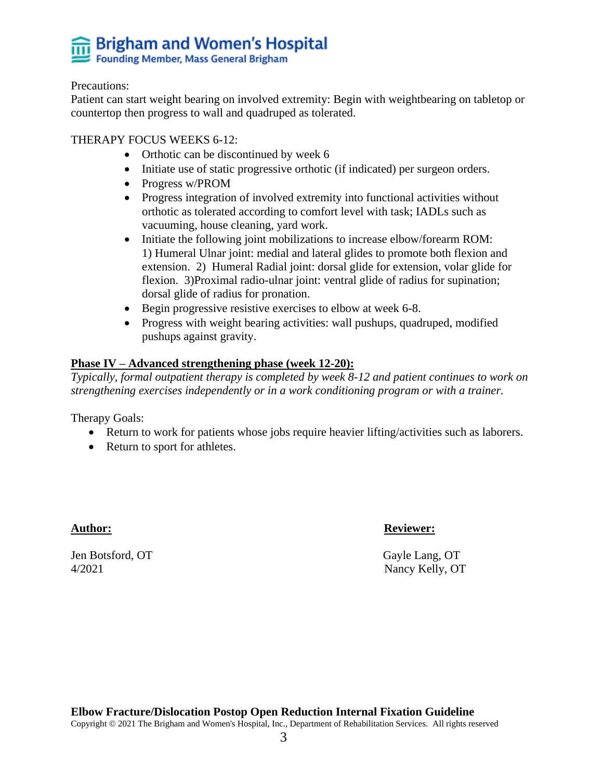# **Brigham and Women's Hospital**<br>Founding Member, Mass General Brigham

#### Precautions:

Patient can start weight bearing on involved extremity: Begin with weightbearing on tabletop or countertop then progress to wall and quadruped as tolerated.

#### THERAPY FOCUS WEEKS 6-12:

- Orthotic can be discontinued by week 6
- Initiate use of static progressive orthotic (if indicated) per surgeon orders.
- Progress w/PROM
- Progress integration of involved extremity into functional activities without orthotic as tolerated according to comfort level with task; IADLs such as vacuuming, house cleaning, yard work.
- Initiate the following joint mobilizations to increase elbow/forearm ROM: 1) Humeral Ulnar joint: medial and lateral glides to promote both flexion and extension. 2) Humeral Radial joint: dorsal glide for extension, volar glide for flexion. 3)Proximal radio-ulnar joint: ventral glide of radius for supination; dorsal glide of radius for pronation.
- Begin progressive resistive exercises to elbow at week 6-8.
- Progress with weight bearing activities: wall pushups, quadruped, modified pushups against gravity.

#### **Phase IV – Advanced strengthening phase (week 12-20):**

*Typically, formal outpatient therapy is completed by week 8-12 and patient continues to work on strengthening exercises independently or in a work conditioning program or with a trainer.*

Therapy Goals:

- Return to work for patients whose jobs require heavier lifting/activities such as laborers.
- Return to sport for athletes.

Jen Botsford, OT Gayle Lang, OT 4/2021 Nancy Kelly, OT

#### Author: Reviewer: